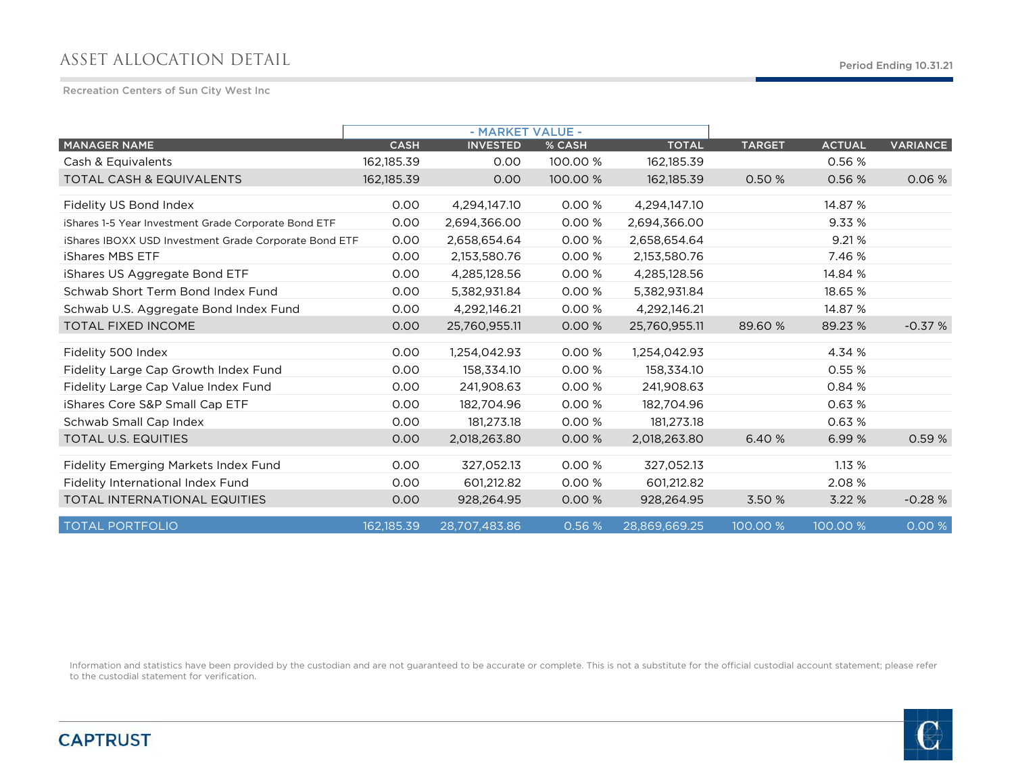# ASSET ALLOCATION DETAIL

Recreation Centers of Sun City West Inc

|                                                       |             | - MARKET VALUE - |          |               |               |               |                 |
|-------------------------------------------------------|-------------|------------------|----------|---------------|---------------|---------------|-----------------|
| <b>MANAGER NAME</b>                                   | <b>CASH</b> | <b>INVESTED</b>  | % CASH   | <b>TOTAL</b>  | <b>TARGET</b> | <b>ACTUAL</b> | <b>VARIANCE</b> |
| Cash & Equivalents                                    | 162,185.39  | 0.00             | 100.00 % | 162, 185. 39  |               | 0.56 %        |                 |
| <b>TOTAL CASH &amp; EQUIVALENTS</b>                   | 162,185.39  | 0.00             | 100.00 % | 162, 185. 39  | 0.50 %        | 0.56 %        | 0.06%           |
| Fidelity US Bond Index                                | 0.00        | 4,294,147.10     | 0.00 %   | 4,294,147.10  |               | 14.87 %       |                 |
| iShares 1-5 Year Investment Grade Corporate Bond ETF  | 0.00        | 2,694,366.00     | 0.00 %   | 2,694,366.00  |               | 9.33 %        |                 |
| iShares IBOXX USD Investment Grade Corporate Bond ETF | 0.00        | 2,658,654.64     | 0.00%    | 2,658,654.64  |               | 9.21%         |                 |
| <b>iShares MBS ETF</b>                                | 0.00        | 2,153,580.76     | 0.00%    | 2,153,580.76  |               | 7.46 %        |                 |
| iShares US Aggregate Bond ETF                         | 0.00        | 4,285,128.56     | 0.00%    | 4,285,128.56  |               | 14.84 %       |                 |
| Schwab Short Term Bond Index Fund                     | 0.00        | 5,382,931.84     | 0.00 %   | 5,382,931.84  |               | 18.65 %       |                 |
| Schwab U.S. Aggregate Bond Index Fund                 | 0.00        | 4,292,146.21     | 0.00 %   | 4,292,146.21  |               | 14.87 %       |                 |
| <b>TOTAL FIXED INCOME</b>                             | 0.00        | 25,760,955.11    | 0.00 %   | 25,760,955.11 | 89.60 %       | 89.23 %       | $-0.37%$        |
| Fidelity 500 Index                                    | 0.00        | 1,254,042.93     | 0.00 %   | 1,254,042.93  |               | 4.34 %        |                 |
| Fidelity Large Cap Growth Index Fund                  | 0.00        | 158,334.10       | 0.00%    | 158,334.10    |               | 0.55%         |                 |
| Fidelity Large Cap Value Index Fund                   | 0.00        | 241,908.63       | 0.00%    | 241,908.63    |               | 0.84 %        |                 |
| iShares Core S&P Small Cap ETF                        | 0.00        | 182.704.96       | 0.00%    | 182,704.96    |               | 0.63%         |                 |
| Schwab Small Cap Index                                | 0.00        | 181,273.18       | 0.00 %   | 181,273.18    |               | 0.63%         |                 |
| <b>TOTAL U.S. EQUITIES</b>                            | 0.00        | 2,018,263.80     | 0.00%    | 2,018,263.80  | 6.40 %        | 6.99 %        | 0.59%           |
| Fidelity Emerging Markets Index Fund                  | 0.00        | 327,052.13       | 0.00 %   | 327,052.13    |               | 1.13%         |                 |
| Fidelity International Index Fund                     | 0.00        | 601,212.82       | 0.00 %   | 601,212.82    |               | 2.08 %        |                 |
| <b>TOTAL INTERNATIONAL EQUITIES</b>                   | 0.00        | 928,264.95       | 0.00%    | 928,264.95    | 3.50 %        | 3.22%         | $-0.28%$        |
| <b>TOTAL PORTFOLIO</b>                                | 162,185.39  | 28,707,483.86    | 0.56 %   | 28,869,669.25 | 100.00 %      | 100.00 %      | 0.00%           |

Information and statistics have been provided by the custodian and are not guaranteed to be accurate or complete. This is not a substitute for the official custodial account statement; please refer to the custodial statement for verification.



# **CAPTRUST**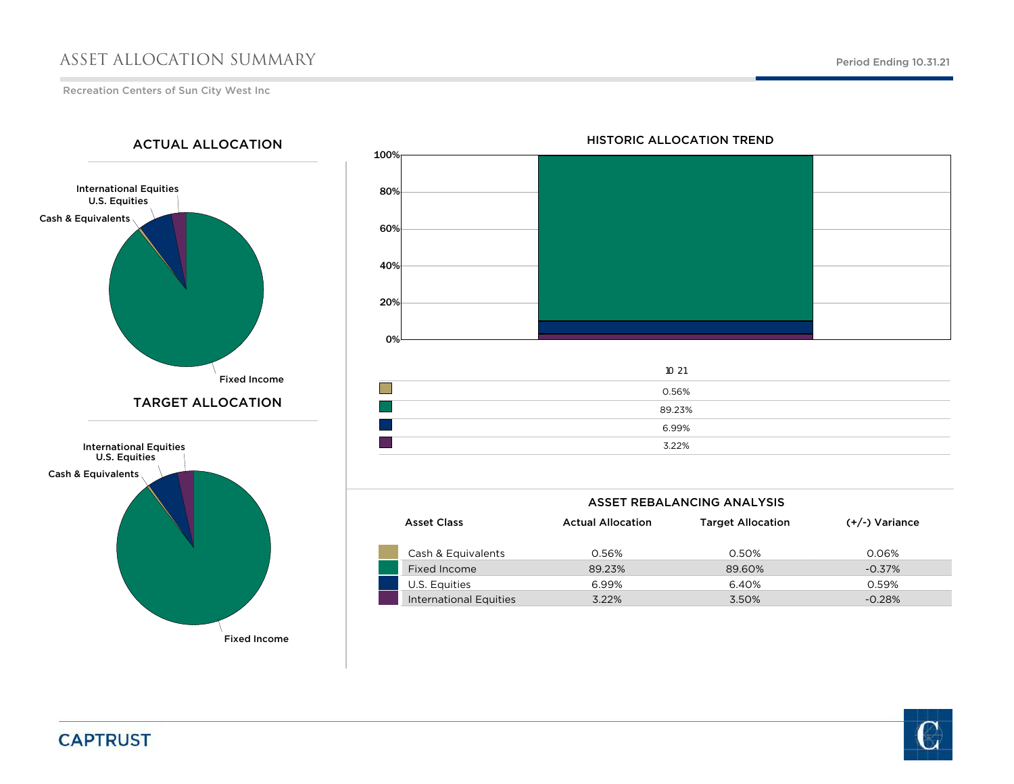### ASSET ALLOCATION SUMMARY

Recreation Centers of Sun City West Inc

International Equities U.S. Equities Cash & Equivalents Fixed Income International Equities U.S. Equities Cash & Equivalents Fixed Income TARGET ALLOCATIONACTUAL ALLOCATION

# 100% 80%60%40%20%0%

| 10 21  |
|--------|
| 0.56%  |
| 89.23% |
| 6.99%  |
| 3.22%  |

| ASSET REBALANCING ANALYSIS |                          |                          |                  |  |  |  |  |  |  |  |  |  |
|----------------------------|--------------------------|--------------------------|------------------|--|--|--|--|--|--|--|--|--|
| <b>Asset Class</b>         | <b>Actual Allocation</b> | <b>Target Allocation</b> | $(+/-)$ Variance |  |  |  |  |  |  |  |  |  |
| Cash & Equivalents         | 0.56%                    | 0.50%                    | 0.06%            |  |  |  |  |  |  |  |  |  |
| Fixed Income               | 89.23%                   | 89.60%                   | $-0.37\%$        |  |  |  |  |  |  |  |  |  |
| U.S. Equities              | 6.99%                    | 6.40%                    | 0.59%            |  |  |  |  |  |  |  |  |  |
| International Equities     | 3.22%                    | 3.50%                    | $-0.28%$         |  |  |  |  |  |  |  |  |  |

#### HISTORIC ALLOCATION TREND

**CAPTRUST** 

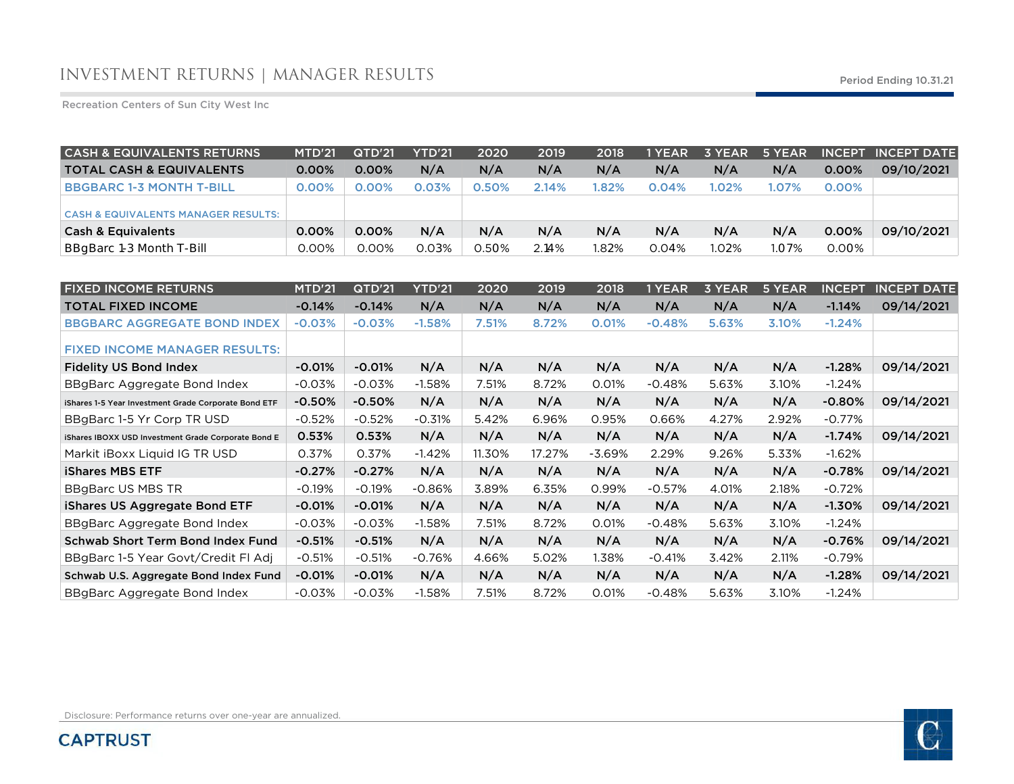Recreation Centers of Sun City West Inc

| <b>CASH &amp; EQUIVALENTS RETURNS</b>          | <b>MTD'21</b> | QTD'21   | <b>YTD'21</b> | 2020  | 2019  | 2018 | 1 YEAR | 3 YEAR   | 5 YEAR |          | <b>INCEPT INCEPT DATE</b> |
|------------------------------------------------|---------------|----------|---------------|-------|-------|------|--------|----------|--------|----------|---------------------------|
| <b>TOTAL CASH &amp; EQUIVALENTS</b>            | $0.00\%$      | $0.00\%$ | N/A           | N/A   | N/A   | N/A  | N/A    | N/A      | N/A    | 0.00%    | 09/10/2021                |
| <b>BBGBARC 1-3 MONTH T-BILL</b>                | 0.00%         | 0.00%    | 0.03%         | 0.50% | 2.14% | .82% | 0.04%  | $1.02\%$ | 1.07%  | $0.00\%$ |                           |
| <b>CASH &amp; EQUIVALENTS MANAGER RESULTS:</b> |               |          |               |       |       |      |        |          |        |          |                           |
| <b>Cash &amp; Equivalents</b>                  | 0.00%         | 0.00%    | N/A           | N/A   | N/A   | N/A  | N/A    | N/A      | N/A    | 0.00%    | 09/10/2021                |
| BBgBarc 1-3 Month T-Bill                       | 0.00%         | 0.00%    | 0.03%         | 0.50% | 2.14% | .82% | 0.04%  | 1.02%    | 1.07%  | 0.00%    |                           |

| <b>FIXED INCOME RETURNS</b>                          | <b>MTD'21</b> | QTD'21   | <b>YTD'21</b> | 2020   | 2019   | 2018     | 1 YEAR   | <b>3 YEAR</b> | 5 YEAR | <b>INCEPT</b> | <b>INCEPT DATE</b> |
|------------------------------------------------------|---------------|----------|---------------|--------|--------|----------|----------|---------------|--------|---------------|--------------------|
| <b>TOTAL FIXED INCOME</b>                            | $-0.14%$      | $-0.14%$ | N/A           | N/A    | N/A    | N/A      | N/A      | N/A           | N/A    | $-1.14%$      | 09/14/2021         |
| <b>BBGBARC AGGREGATE BOND INDEX</b>                  | $-0.03%$      | $-0.03%$ | $-1.58%$      | 7.51%  | 8.72%  | 0.01%    | $-0.48%$ | 5.63%         | 3.10%  | $-1.24%$      |                    |
| <b>FIXED INCOME MANAGER RESULTS:</b>                 |               |          |               |        |        |          |          |               |        |               |                    |
| <b>Fidelity US Bond Index</b>                        | $-0.01%$      | $-0.01%$ | N/A           | N/A    | N/A    | N/A      | N/A      | N/A           | N/A    | $-1.28%$      | 09/14/2021         |
| BBgBarc Aggregate Bond Index                         | $-0.03%$      | $-0.03%$ | $-1.58%$      | 7.51%  | 8.72%  | 0.01%    | $-0.48%$ | 5.63%         | 3.10%  | $-1.24%$      |                    |
| iShares 1-5 Year Investment Grade Corporate Bond ETF | $-0.50%$      | $-0.50%$ | N/A           | N/A    | N/A    | N/A      | N/A      | N/A           | N/A    | $-0.80%$      | 09/14/2021         |
| BBgBarc 1-5 Yr Corp TR USD                           | $-0.52%$      | $-0.52%$ | $-0.31%$      | 5.42%  | 6.96%  | 0.95%    | 0.66%    | 4.27%         | 2.92%  | $-0.77\%$     |                    |
| iShares IBOXX USD Investment Grade Corporate Bond E  | 0.53%         | 0.53%    | N/A           | N/A    | N/A    | N/A      | N/A      | N/A           | N/A    | $-1.74%$      | 09/14/2021         |
| Markit iBoxx Liquid IG TR USD                        | 0.37%         | 0.37%    | $-1.42%$      | 11.30% | 17.27% | $-3.69%$ | 2.29%    | 9.26%         | 5.33%  | $-1.62%$      |                    |
| <b>iShares MBS ETF</b>                               | $-0.27%$      | $-0.27%$ | N/A           | N/A    | N/A    | N/A      | N/A      | N/A           | N/A    | $-0.78%$      | 09/14/2021         |
| BBgBarc US MBS TR                                    | $-0.19%$      | $-0.19%$ | $-0.86%$      | 3.89%  | 6.35%  | 0.99%    | $-0.57%$ | 4.01%         | 2.18%  | $-0.72%$      |                    |
| iShares US Aggregate Bond ETF                        | $-0.01%$      | $-0.01%$ | N/A           | N/A    | N/A    | N/A      | N/A      | N/A           | N/A    | $-1.30%$      | 09/14/2021         |
| BBgBarc Aggregate Bond Index                         | $-0.03%$      | $-0.03%$ | $-1.58%$      | 7.51%  | 8.72%  | 0.01%    | $-0.48%$ | 5.63%         | 3.10%  | $-1.24%$      |                    |
| Schwab Short Term Bond Index Fund                    | $-0.51%$      | $-0.51%$ | N/A           | N/A    | N/A    | N/A      | N/A      | N/A           | N/A    | $-0.76%$      | 09/14/2021         |
| BBgBarc 1-5 Year Govt/Credit FI Adj                  | $-0.51%$      | $-0.51%$ | $-0.76%$      | 4.66%  | 5.02%  | 1.38%    | $-0.41%$ | 3.42%         | 2.11%  | $-0.79%$      |                    |
| Schwab U.S. Aggregate Bond Index Fund                | $-0.01%$      | $-0.01%$ | N/A           | N/A    | N/A    | N/A      | N/A      | N/A           | N/A    | $-1.28%$      | 09/14/2021         |
| BBgBarc Aggregate Bond Index                         | $-0.03%$      | $-0.03%$ | $-1.58%$      | 7.51%  | 8.72%  | 0.01%    | $-0.48%$ | 5.63%         | 3.10%  | $-1.24%$      |                    |